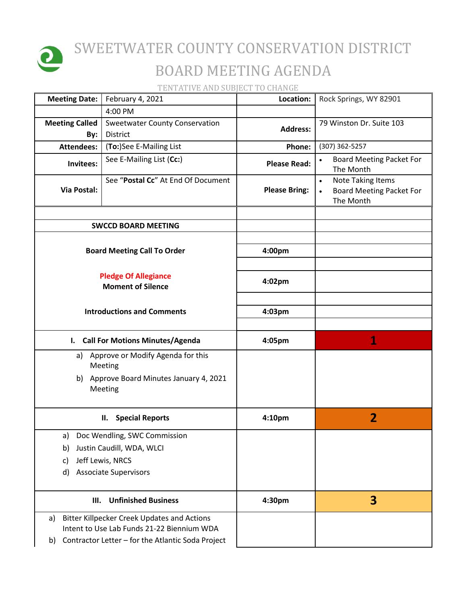

## SWEETWATER COUNTY CONSERVATION DISTRICT BOARD MEETING AGENDA

TENTATIVE AND SUBJECT TO CHANGE

| <b>Meeting Date:</b>                                    |                                                     | February 4, 2021                                                                                                                                      | Location:            | Rock Springs, WY 82901                                                                |
|---------------------------------------------------------|-----------------------------------------------------|-------------------------------------------------------------------------------------------------------------------------------------------------------|----------------------|---------------------------------------------------------------------------------------|
|                                                         |                                                     | 4:00 PM                                                                                                                                               |                      |                                                                                       |
| <b>Meeting Called</b>                                   | By:                                                 | <b>Sweetwater County Conservation</b><br>District                                                                                                     | <b>Address:</b>      | 79 Winston Dr. Suite 103                                                              |
| <b>Attendees:</b>                                       |                                                     | (To:)See E-Mailing List                                                                                                                               | Phone:               | (307) 362-5257                                                                        |
|                                                         | Invitees:                                           | See E-Mailing List (Cc:)                                                                                                                              | <b>Please Read:</b>  | <b>Board Meeting Packet For</b><br>The Month                                          |
|                                                         | Via Postal:                                         | See "Postal Cc" At End Of Document                                                                                                                    | <b>Please Bring:</b> | <b>Note Taking Items</b><br>$\bullet$<br><b>Board Meeting Packet For</b><br>The Month |
|                                                         |                                                     | <b>SWCCD BOARD MEETING</b>                                                                                                                            |                      |                                                                                       |
|                                                         |                                                     |                                                                                                                                                       |                      |                                                                                       |
|                                                         | <b>Board Meeting Call To Order</b>                  |                                                                                                                                                       |                      |                                                                                       |
| <b>Pledge Of Allegiance</b><br><b>Moment of Silence</b> |                                                     |                                                                                                                                                       | 4:02pm               |                                                                                       |
| <b>Introductions and Comments</b>                       |                                                     |                                                                                                                                                       | 4:03pm               |                                                                                       |
|                                                         | I. Call For Motions Minutes/Agenda                  |                                                                                                                                                       | 4:05pm               | 1                                                                                     |
|                                                         | Approve or Modify Agenda for this<br>a)<br>Meeting  |                                                                                                                                                       |                      |                                                                                       |
|                                                         | b) Approve Board Minutes January 4, 2021<br>Meeting |                                                                                                                                                       |                      |                                                                                       |
|                                                         | II. Special Reports                                 |                                                                                                                                                       | 4:10pm               | 2                                                                                     |
|                                                         |                                                     | a) Doc Wendling, SWC Commission                                                                                                                       |                      |                                                                                       |
| b)                                                      |                                                     | Justin Caudill, WDA, WLCI                                                                                                                             |                      |                                                                                       |
| Jeff Lewis, NRCS<br>c)                                  |                                                     |                                                                                                                                                       |                      |                                                                                       |
| d)                                                      |                                                     | <b>Associate Supervisors</b>                                                                                                                          |                      |                                                                                       |
| <b>Unfinished Business</b><br>III.                      |                                                     | 4:30pm                                                                                                                                                | 3                    |                                                                                       |
| a)<br>b)                                                |                                                     | <b>Bitter Killpecker Creek Updates and Actions</b><br>Intent to Use Lab Funds 21-22 Biennium WDA<br>Contractor Letter - for the Atlantic Soda Project |                      |                                                                                       |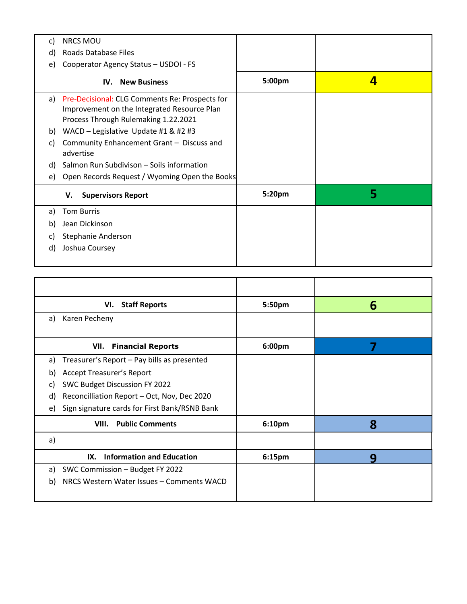| <b>NRCS MOU</b><br>C)                                                                                                                    |        |   |
|------------------------------------------------------------------------------------------------------------------------------------------|--------|---|
| <b>Roads Database Files</b><br>d)                                                                                                        |        |   |
| Cooperator Agency Status - USDOI - FS<br>e)                                                                                              |        |   |
| <b>IV.</b> New Business                                                                                                                  | 5:00pm | 4 |
| a) Pre-Decisional: CLG Comments Re: Prospects for<br>Improvement on the Integrated Resource Plan<br>Process Through Rulemaking 1.22.2021 |        |   |
| WACD - Legislative Update #1 & #2 #3<br>b)                                                                                               |        |   |
| Community Enhancement Grant - Discuss and<br>C)<br>advertise                                                                             |        |   |
| Salmon Run Subdivison - Soils information<br>d)                                                                                          |        |   |
| Open Records Request / Wyoming Open the Books<br>e)                                                                                      |        |   |
| <b>Supervisors Report</b><br>V.                                                                                                          | 5:20pm | 5 |
| <b>Tom Burris</b><br>a)                                                                                                                  |        |   |
| Jean Dickinson<br>b)                                                                                                                     |        |   |
| Stephanie Anderson<br>C)                                                                                                                 |        |   |
| Joshua Coursey<br>d)                                                                                                                     |        |   |
|                                                                                                                                          |        |   |

| <b>Staff Reports</b><br>VI.                         | 5:50pm | 6 |
|-----------------------------------------------------|--------|---|
| Karen Pecheny<br>a)                                 |        |   |
| VII.<br><b>Financial Reports</b>                    | 6:00pm | 7 |
| Treasurer's Report - Pay bills as presented<br>a)   |        |   |
| <b>Accept Treasurer's Report</b><br>$\mathsf{b}$    |        |   |
| SWC Budget Discussion FY 2022<br>C)                 |        |   |
| Reconcilliation Report - Oct, Nov, Dec 2020<br>d)   |        |   |
| Sign signature cards for First Bank/RSNB Bank<br>e) |        |   |
| <b>Public Comments</b><br>VIII.                     | 6:10pm | 8 |
| a)                                                  |        |   |
| <b>Information and Education</b><br>IX.             | 6:15pm | q |
| SWC Commission - Budget FY 2022<br>a)               |        |   |
| NRCS Western Water Issues - Comments WACD<br>b)     |        |   |
|                                                     |        |   |